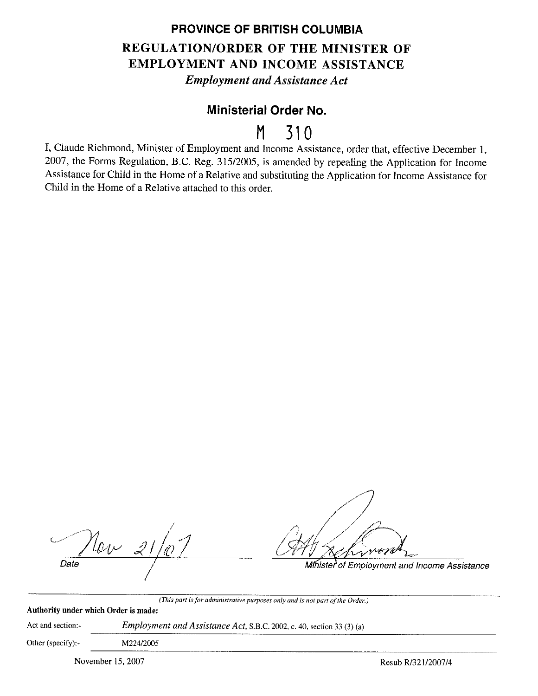## **PROVINCE OF BRITISH COLUMBIA REGULATION/ORDER OF THE MINISTER OF EMPLOYMENT AND INCOME ASSISTANCE**  *Employment and Assistance Act*

# **Ministerial Order No.**

# **M 310**

I, Claude Richmond, Minister of Employment and Income Assistance, order that, effective December I, 2007, the Forms Regulation, B.C. Reg. 315/2005, is amended by repealing the Application for Income Assistance for Child in the Home of a Relative and substituting the Application for Income Assistance for Child in the Home of a Relative attached to this order.

*I*   $\%v_{\perp}$ *P*  $\frac{1}{2}$  .  $\frac{1}{2}$  . Date

Minister of Employment and Income Assistance

*(This part is for administrative purposes only and is not part of the Order.)* 

| Authority under which Order is made: |                                                                              |
|--------------------------------------|------------------------------------------------------------------------------|
| Act and section:-                    | <i>Employment and Assistance Act, S.B.C.</i> 2002, c. 40, section 33 (3) (a) |
| Other (specify):-                    | M224/2005                                                                    |

November 15, 2007 Resub R/321/2007/4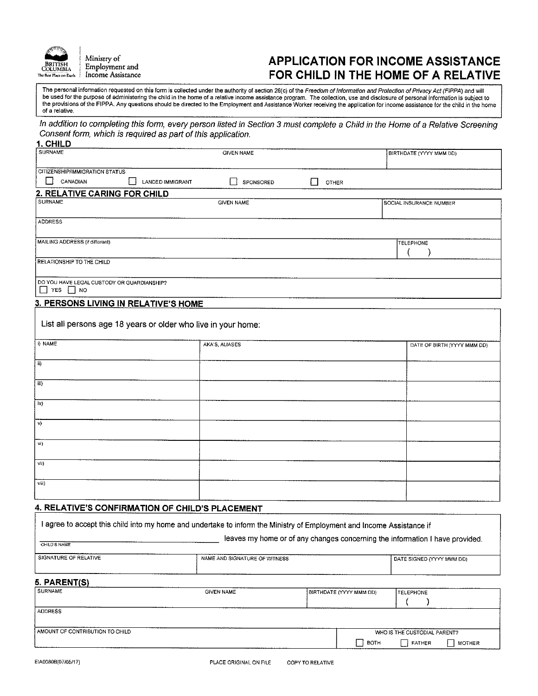

Ministry of Employment and Income Assistance

#### **APPLICATION FOR INCOME ASSISTANCE FOR CHILD IN THE HOME OF A RELATIVE**

The personal information requested on this form is collected under the authority of section 26(c) of the Freedom of Information and Protection of Privacy Act (FIPPA) and will be used for the purpose of administering the child in the home of a relative income assistance program. The collection. use and disclosure of persona! Information is subject to the provisions of the FIPPA. Any questions should be directed to the Employment and Assistance Worker receiving the application for income assistance for the child in the home<br>of a relative. of a relative. .

In addition to completing this form, every person listed in Section 3 must complete a Child in the Home of a Relative Screening Consent form, which is required as part of this application. **1. CHILD** 

| 1. CHILD                                                    |                                                               |              |                             |
|-------------------------------------------------------------|---------------------------------------------------------------|--------------|-----------------------------|
| <b>SURNAME</b>                                              | <b>GIVEN NAME</b>                                             |              | BIRTHDATE (YYYY MMM DD)     |
|                                                             |                                                               |              |                             |
| <b>CITIZENSHIPAMMIGRATION STATUS</b>                        |                                                               |              |                             |
| ∣ ∤<br>CANADIAN                                             | LANDED IMMIGRANT<br>SPONSORED                                 | <b>OTHER</b> |                             |
| 2. RELATIVE CARING FOR CHILD                                |                                                               |              |                             |
| <b>SURNAME</b>                                              | <b>GIVEN NAME</b>                                             |              | SOCIAL INSURANCE NUMBER     |
|                                                             |                                                               |              |                             |
| <b>ADDRESS</b>                                              |                                                               |              |                             |
| MAILING ADDRESS (if different)                              |                                                               |              | <b>TELEPHONE</b>            |
|                                                             |                                                               |              |                             |
| RELATIONSHIP TO THE CHILD                                   |                                                               |              |                             |
| DO YOU HAVE LEGAL CUSTODY OR GUARDIANSHIP?<br>YES <b>NO</b> |                                                               |              |                             |
| 3. PERSONS LIVING IN RELATIVE'S HOME                        |                                                               |              |                             |
|                                                             | List all persons age 18 years or older who live in your home: |              |                             |
| i) NAME                                                     | AKA'S, ALIASES                                                |              | DATE OF BIRTH (YYYY MMM DD) |
| ii)                                                         |                                                               |              |                             |
|                                                             |                                                               |              |                             |
| iii)                                                        |                                                               |              |                             |
| iv)                                                         |                                                               |              |                             |
|                                                             |                                                               |              |                             |

,) S) vii) viii) **4. RELATIVE'S CONFIRMATION OF CHILD'S PLACEMENT** 

| CHILD'S NAME                    |                               | leaves my home or of any changes concerning the information I have provided. |                              |  |  |
|---------------------------------|-------------------------------|------------------------------------------------------------------------------|------------------------------|--|--|
| SIGNATURE OF RELATIVE           | NAME AND SIGNATURE OF WITNESS |                                                                              | DATE SIGNED (YYYY MMM DD)    |  |  |
| 5. PARENT(S)                    |                               |                                                                              |                              |  |  |
| SURNAME                         | <b>GIVEN NAME</b>             | BIRTHDATE (YYYY MMM DD)                                                      | <b>TELEPHONE</b>             |  |  |
| <b>ADDRESS</b>                  |                               |                                                                              |                              |  |  |
| AMOUNT OF CONTRIBUTION TO CHILD |                               |                                                                              | WHO IS THE CUSTODIAL PARENT? |  |  |
|                                 |                               | BOTH<br>▐                                                                    | FATHER<br><b>MOTHER</b>      |  |  |